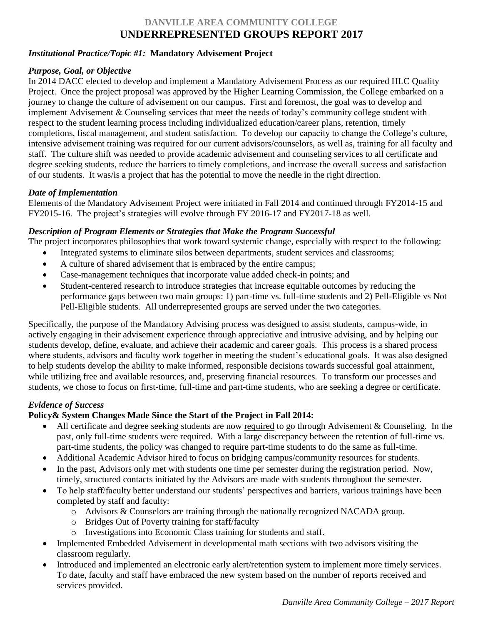# **DANVILLE AREA COMMUNITY COLLEGE UNDERREPRESENTED GROUPS REPORT 2017**

### *Institutional Practice/Topic #1:* **Mandatory Advisement Project**

#### *Purpose, Goal, or Objective*

In 2014 DACC elected to develop and implement a Mandatory Advisement Process as our required HLC Quality Project. Once the project proposal was approved by the Higher Learning Commission, the College embarked on a journey to change the culture of advisement on our campus. First and foremost, the goal was to develop and implement Advisement & Counseling services that meet the needs of today's community college student with respect to the student learning process including individualized education/career plans, retention, timely completions, fiscal management, and student satisfaction. To develop our capacity to change the College's culture, intensive advisement training was required for our current advisors/counselors, as well as, training for all faculty and staff. The culture shift was needed to provide academic advisement and counseling services to all certificate and degree seeking students, reduce the barriers to timely completions, and increase the overall success and satisfaction of our students. It was/is a project that has the potential to move the needle in the right direction.

### *Date of Implementation*

Elements of the Mandatory Advisement Project were initiated in Fall 2014 and continued through FY2014-15 and FY2015-16. The project's strategies will evolve through FY 2016-17 and FY2017-18 as well.

### *Description of Program Elements or Strategies that Make the Program Successful*

The project incorporates philosophies that work toward systemic change, especially with respect to the following:

- Integrated systems to eliminate silos between departments, student services and classrooms;
- A culture of shared advisement that is embraced by the entire campus;
- Case-management techniques that incorporate value added check-in points; and
- Student-centered research to introduce strategies that increase equitable outcomes by reducing the performance gaps between two main groups: 1) part-time vs. full-time students and 2) Pell-Eligible vs Not Pell-Eligible students. All underrepresented groups are served under the two categories.

Specifically, the purpose of the Mandatory Advising process was designed to assist students, campus-wide, in actively engaging in their advisement experience through appreciative and intrusive advising, and by helping our students develop, define, evaluate, and achieve their academic and career goals. This process is a shared process where students, advisors and faculty work together in meeting the student's educational goals. It was also designed to help students develop the ability to make informed, responsible decisions towards successful goal attainment, while utilizing free and available resources, and, preserving financial resources. To transform our processes and students, we chose to focus on first-time, full-time and part-time students, who are seeking a degree or certificate.

## *Evidence of Success*

## **Policy& System Changes Made Since the Start of the Project in Fall 2014:**

- All certificate and degree seeking students are now required to go through Advisement & Counseling. In the past, only full-time students were required. With a large discrepancy between the retention of full-time vs. part-time students, the policy was changed to require part-time students to do the same as full-time.
- Additional Academic Advisor hired to focus on bridging campus/community resources for students.
- In the past, Advisors only met with students one time per semester during the registration period. Now, timely, structured contacts initiated by the Advisors are made with students throughout the semester.
- To help staff/faculty better understand our students' perspectives and barriers, various trainings have been completed by staff and faculty:
	- o Advisors & Counselors are training through the nationally recognized NACADA group.
	- o Bridges Out of Poverty training for staff/faculty
	- o Investigations into Economic Class training for students and staff.
- Implemented Embedded Advisement in developmental math sections with two advisors visiting the classroom regularly.
- Introduced and implemented an electronic early alert/retention system to implement more timely services. To date, faculty and staff have embraced the new system based on the number of reports received and services provided.